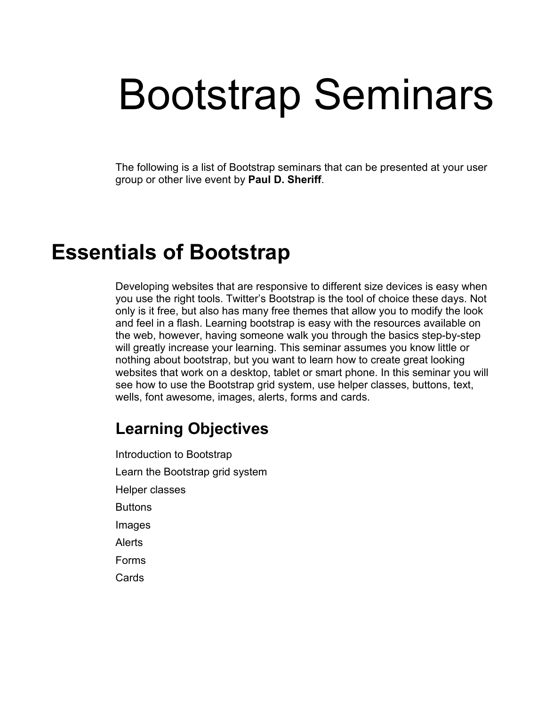# Bootstrap Seminars

The following is a list of Bootstrap seminars that can be presented at your user group or other live event by **Paul D. Sheriff**.

## **Essentials of Bootstrap**

Developing websites that are responsive to different size devices is easy when you use the right tools. Twitter's Bootstrap is the tool of choice these days. Not only is it free, but also has many free themes that allow you to modify the look and feel in a flash. Learning bootstrap is easy with the resources available on the web, however, having someone walk you through the basics step-by-step will greatly increase your learning. This seminar assumes you know little or nothing about bootstrap, but you want to learn how to create great looking websites that work on a desktop, tablet or smart phone. In this seminar you will see how to use the Bootstrap grid system, use helper classes, buttons, text, wells, font awesome, images, alerts, forms and cards.

#### **Learning Objectives**

Introduction to Bootstrap Learn the Bootstrap grid system Helper classes **Buttons** Images Alerts Forms **Cards**